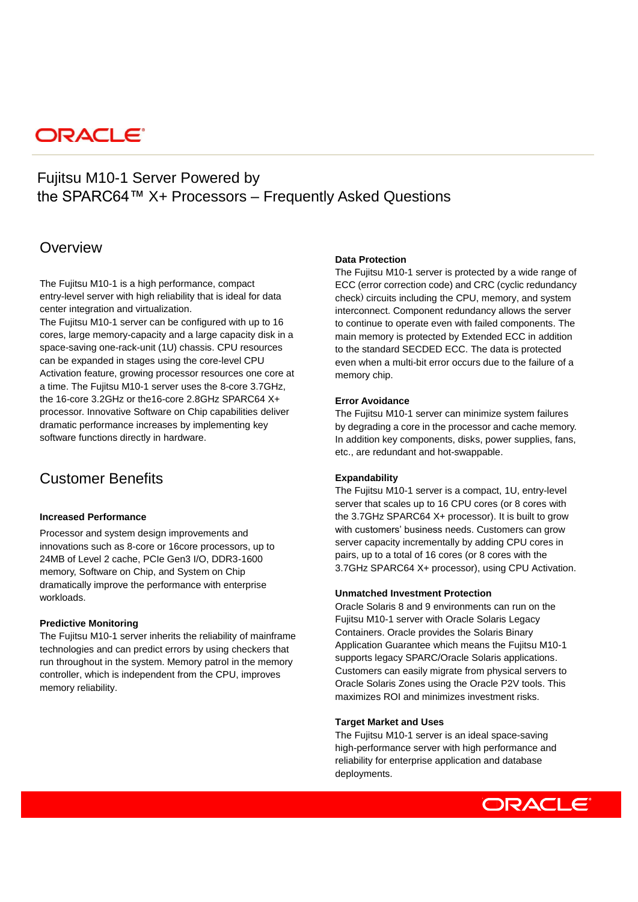# **ORACLE**

# Fujitsu M10-1 Server Powered by the SPARC64™ X+ Processors – Frequently Asked Questions

# **Overview**

The Fujitsu M10-1 is a high performance, compact entry-level server with high reliability that is ideal for data center integration and virtualization.

The Fujitsu M10-1 server can be configured with up to 16 cores, large memory-capacity and a large capacity disk in a space-saving one-rack-unit (1U) chassis. CPU resources can be expanded in stages using the core-level CPU Activation feature, growing processor resources one core at a time. The Fujitsu M10-1 server uses the 8-core 3.7GHz, the 16-core 3.2GHz or the16-core 2.8GHz SPARC64 X+ processor. Innovative Software on Chip capabilities deliver dramatic performance increases by implementing key software functions directly in hardware.

# Customer Benefits

#### **Increased Performance**

Processor and system design improvements and innovations such as 8-core or 16core processors, up to 24MB of Level 2 cache, PCIe Gen3 I/O, DDR3-1600 memory, Software on Chip, and System on Chip dramatically improve the performance with enterprise workloads.

## **Predictive Monitoring**

The Fujitsu M10-1 server inherits the reliability of mainframe technologies and can predict errors by using checkers that run throughout in the system. Memory patrol in the memory controller, which is independent from the CPU, improves memory reliability.

#### **Data Protection**

The Fujitsu M10-1 server is protected by a wide range of ECC (error correction code) and CRC (cyclic redundancy check) circuits including the CPU, memory, and system interconnect. Component redundancy allows the server to continue to operate even with failed components. The main memory is protected by Extended ECC in addition to the standard SECDED ECC. The data is protected even when a multi-bit error occurs due to the failure of a memory chip.

#### **Error Avoidance**

The Fujitsu M10-1 server can minimize system failures by degrading a core in the processor and cache memory. In addition key components, disks, power supplies, fans, etc., are redundant and hot-swappable.

## **Expandability**

The Fujitsu M10-1 server is a compact, 1U, entry-level server that scales up to 16 CPU cores (or 8 cores with the 3.7GHz SPARC64 X+ processor). It is built to grow with customers' business needs. Customers can grow server capacity incrementally by adding CPU cores in pairs, up to a total of 16 cores (or 8 cores with the 3.7GHz SPARC64 X+ processor), using CPU Activation.

#### **Unmatched Investment Protection**

Oracle Solaris 8 and 9 environments can run on the Fujitsu M10-1 server with Oracle Solaris Legacy Containers. Oracle provides the Solaris Binary Application Guarantee which means the Fujitsu M10-1 supports legacy SPARC/Oracle Solaris applications. Customers can easily migrate from physical servers to Oracle Solaris Zones using the Oracle P2V tools. This maximizes ROI and minimizes investment risks.

#### **Target Market and Uses**

The Fujitsu M10-1 server is an ideal space-saving high-performance server with high performance and reliability for enterprise application and database deployments.

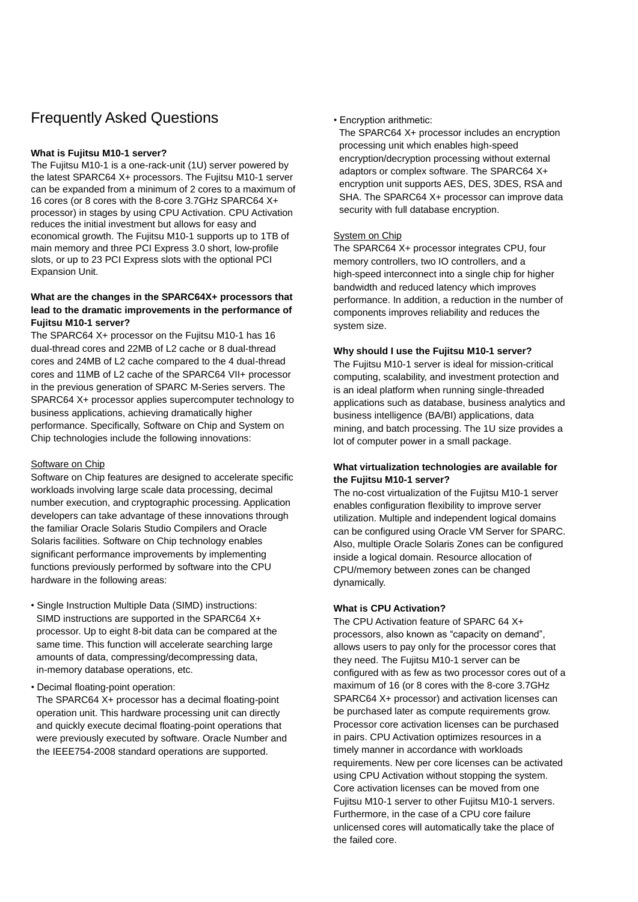# Frequently Asked Questions

## **What is Fujitsu M10-1 server?**

The Fujitsu M10-1 is a one-rack-unit (1U) server powered by the latest SPARC64 X+ processors. The Fujitsu M10-1 server can be expanded from a minimum of 2 cores to a maximum of 16 cores (or 8 cores with the 8-core 3.7GHz SPARC64 X+ processor) in stages by using CPU Activation. CPU Activation reduces the initial investment but allows for easy and economical growth. The Fujitsu M10-1 supports up to 1TB of main memory and three PCI Express 3.0 short, low-profile slots, or up to 23 PCI Express slots with the optional PCI Expansion Unit.

## **What are the changes in the SPARC64X+ processors that lead to the dramatic improvements in the performance of Fujitsu M10-1 server?**

The SPARC64 X+ processor on the Fujitsu M10-1 has 16 dual-thread cores and 22MB of L2 cache or 8 dual-thread cores and 24MB of L2 cache compared to the 4 dual-thread cores and 11MB of L2 cache of the SPARC64 VII+ processor in the previous generation of SPARC M-Series servers. The SPARC64 X+ processor applies supercomputer technology to business applications, achieving dramatically higher performance. Specifically, Software on Chip and System on Chip technologies include the following innovations:

#### Software on Chip

Software on Chip features are designed to accelerate specific workloads involving large scale data processing, decimal number execution, and cryptographic processing. Application developers can take advantage of these innovations through the familiar Oracle Solaris Studio Compilers and Oracle Solaris facilities. Software on Chip technology enables significant performance improvements by implementing functions previously performed by software into the CPU hardware in the following areas:

- Single Instruction Multiple Data (SIMD) instructions: SIMD instructions are supported in the SPARC64 X+ processor. Up to eight 8-bit data can be compared at the same time. This function will accelerate searching large amounts of data, compressing/decompressing data, in-memory database operations, etc.
- Decimal floating-point operation:

The SPARC64 X+ processor has a decimal floating-point operation unit. This hardware processing unit can directly and quickly execute decimal floating-point operations that were previously executed by software. Oracle Number and the IEEE754-2008 standard operations are supported.

• Encryption arithmetic:

The SPARC64 X+ processor includes an encryption processing unit which enables high-speed encryption/decryption processing without external adaptors or complex software. The SPARC64 X+ encryption unit supports AES, DES, 3DES, RSA and SHA. The SPARC64 X+ processor can improve data security with full database encryption.

## System on Chip

The SPARC64 X+ processor integrates CPU, four memory controllers, two IO controllers, and a high-speed interconnect into a single chip for higher bandwidth and reduced latency which improves performance. In addition, a reduction in the number of components improves reliability and reduces the system size.

#### **Why should I use the Fujitsu M10-1 server?**

The Fujitsu M10-1 server is ideal for mission-critical computing, scalability, and investment protection and is an ideal platform when running single-threaded applications such as database, business analytics and business intelligence (BA/BI) applications, data mining, and batch processing. The 1U size provides a lot of computer power in a small package.

# **What virtualization technologies are available for the Fujitsu M10-1 server?**

The no-cost virtualization of the Fujitsu M10-1 server enables configuration flexibility to improve server utilization. Multiple and independent logical domains can be configured using Oracle VM Server for SPARC. Also, multiple Oracle Solaris Zones can be configured inside a logical domain. Resource allocation of CPU/memory between zones can be changed dynamically.

## **What is CPU Activation?**

The CPU Activation feature of SPARC 64 X+ processors, also known as "capacity on demand", allows users to pay only for the processor cores that they need. The Fujitsu M10-1 server can be configured with as few as two processor cores out of a maximum of 16 (or 8 cores with the 8-core 3.7GHz SPARC64 X+ processor) and activation licenses can be purchased later as compute requirements grow. Processor core activation licenses can be purchased in pairs. CPU Activation optimizes resources in a timely manner in accordance with workloads requirements. New per core licenses can be activated using CPU Activation without stopping the system. Core activation licenses can be moved from one Fujitsu M10-1 server to other Fujitsu M10-1 servers. Furthermore, in the case of a CPU core failure unlicensed cores will automatically take the place of the failed core.